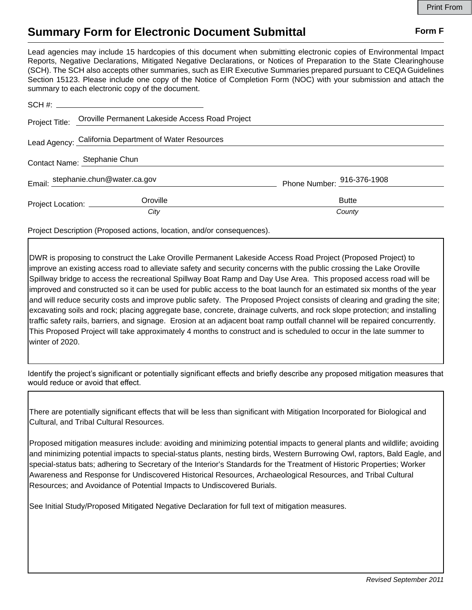## **Summary Form for Electronic Document Submittal Form F Form F**

Lead agencies may include 15 hardcopies of this document when submitting electronic copies of Environmental Impact Reports, Negative Declarations, Mitigated Negative Declarations, or Notices of Preparation to the State Clearinghouse (SCH). The SCH also accepts other summaries, such as EIR Executive Summaries prepared pursuant to CEQA Guidelines Section 15123. Please include one copy of the Notice of Completion Form (NOC) with your submission and attach the summary to each electronic copy of the document.

|                                    | Project Title: Oroville Permanent Lakeside Access Road Project |                            |
|------------------------------------|----------------------------------------------------------------|----------------------------|
|                                    | Lead Agency: California Department of Water Resources          |                            |
| Contact Name: Stephanie Chun       |                                                                |                            |
| Email: stephanie.chun@water.ca.gov |                                                                | Phone Number: 916-376-1908 |
| Project Location: _________        | Oroville                                                       | <b>Butte</b>               |
|                                    | City                                                           | County                     |

Project Description (Proposed actions, location, and/or consequences).

DWR is proposing to construct the Lake Oroville Permanent Lakeside Access Road Project (Proposed Project) to improve an existing access road to alleviate safety and security concerns with the public crossing the Lake Oroville Spillway bridge to access the recreational Spillway Boat Ramp and Day Use Area. This proposed access road will be improved and constructed so it can be used for public access to the boat launch for an estimated six months of the year and will reduce security costs and improve public safety. The Proposed Project consists of clearing and grading the site; excavating soils and rock; placing aggregate base, concrete, drainage culverts, and rock slope protection; and installing traffic safety rails, barriers, and signage. Erosion at an adjacent boat ramp outfall channel will be repaired concurrently. This Proposed Project will take approximately 4 months to construct and is scheduled to occur in the late summer to winter of 2020.

Identify the project's significant or potentially significant effects and briefly describe any proposed mitigation measures that would reduce or avoid that effect.

There are potentially significant effects that will be less than significant with Mitigation Incorporated for Biological and Cultural, and Tribal Cultural Resources.

Proposed mitigation measures include: avoiding and minimizing potential impacts to general plants and wildlife; avoiding and minimizing potential impacts to special-status plants, nesting birds, Western Burrowing Owl, raptors, Bald Eagle, and special-status bats; adhering to Secretary of the Interior's Standards for the Treatment of Historic Properties; Worker Awareness and Response for Undiscovered Historical Resources, Archaeological Resources, and Tribal Cultural Resources; and Avoidance of Potential Impacts to Undiscovered Burials.

See Initial Study/Proposed Mitigated Negative Declaration for full text of mitigation measures.